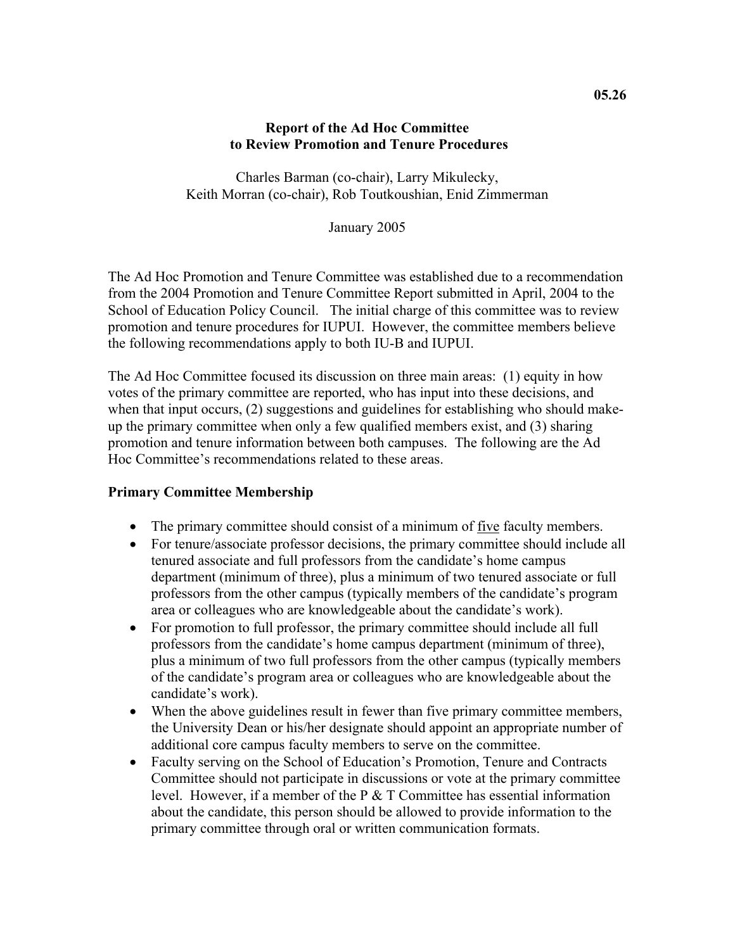### **Report of the Ad Hoc Committee to Review Promotion and Tenure Procedures**

Charles Barman (co-chair), Larry Mikulecky, Keith Morran (co-chair), Rob Toutkoushian, Enid Zimmerman

January 2005

The Ad Hoc Promotion and Tenure Committee was established due to a recommendation from the 2004 Promotion and Tenure Committee Report submitted in April, 2004 to the School of Education Policy Council. The initial charge of this committee was to review promotion and tenure procedures for IUPUI. However, the committee members believe the following recommendations apply to both IU-B and IUPUI.

The Ad Hoc Committee focused its discussion on three main areas: (1) equity in how votes of the primary committee are reported, who has input into these decisions, and when that input occurs, (2) suggestions and guidelines for establishing who should makeup the primary committee when only a few qualified members exist, and (3) sharing promotion and tenure information between both campuses. The following are the Ad Hoc Committee's recommendations related to these areas.

### **Primary Committee Membership**

- The primary committee should consist of a minimum of five faculty members.
- For tenure/associate professor decisions, the primary committee should include all tenured associate and full professors from the candidate's home campus department (minimum of three), plus a minimum of two tenured associate or full professors from the other campus (typically members of the candidate's program area or colleagues who are knowledgeable about the candidate's work).
- For promotion to full professor, the primary committee should include all full professors from the candidate's home campus department (minimum of three), plus a minimum of two full professors from the other campus (typically members of the candidate's program area or colleagues who are knowledgeable about the candidate's work).
- When the above guidelines result in fewer than five primary committee members, the University Dean or his/her designate should appoint an appropriate number of additional core campus faculty members to serve on the committee.
- Faculty serving on the School of Education's Promotion, Tenure and Contracts Committee should not participate in discussions or vote at the primary committee level. However, if a member of the P & T Committee has essential information about the candidate, this person should be allowed to provide information to the primary committee through oral or written communication formats.